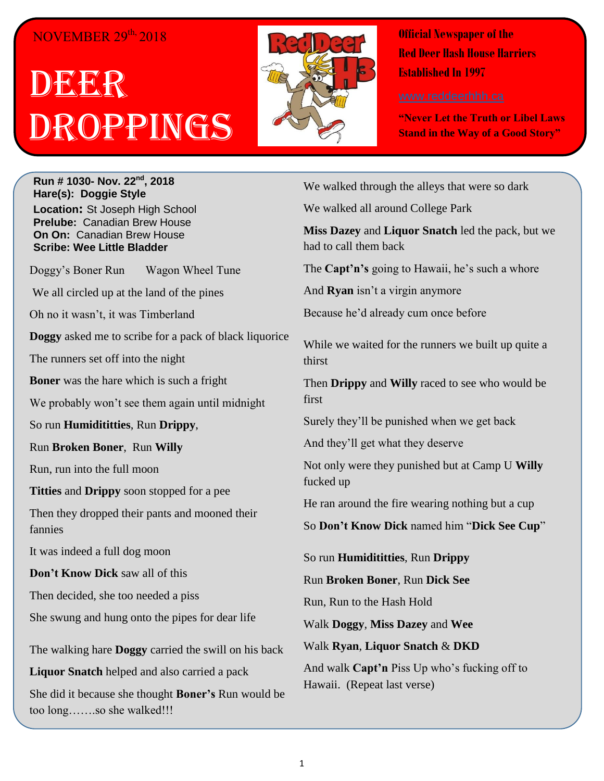#### NOVEMBER 29<sup>th,</sup> 2018

# DEER Droppings



**Official Newspaper of the Red Deer Hash House Harriers Established In 1997** 

**"Never Let the Truth or Libel Laws Stand in the Way of a Good Story"**

**Run # 1030- Nov. 22nd, 2018 Hare(s): Doggie Style Location:** St Joseph High School **Prelube:** Canadian Brew House **On On:** Canadian Brew House **Scribe: Wee Little Bladder**

Doggy's Boner Run Wagon Wheel Tune

We all circled up at the land of the pines

Oh no it wasn't, it was Timberland

**Doggy** asked me to scribe for a pack of black liquorice

The runners set off into the night

**Boner** was the hare which is such a fright

We probably won't see them again until midnight

So run **Humidititties**, Run **Drippy**,

Run **Broken Boner**, Run **Willy**

Run, run into the full moon

**Titties** and **Drippy** soon stopped for a pee

Then they dropped their pants and mooned their fannies

It was indeed a full dog moon

**Don't Know Dick** saw all of this

Then decided, she too needed a piss

She swung and hung onto the pipes for dear life

The walking hare **Doggy** carried the swill on his back

**Liquor Snatch** helped and also carried a pack

She did it because she thought **Boner's** Run would be too long…….so she walked!!!

We walked through the alleys that were so dark

We walked all around College Park

**Miss Dazey** and **Liquor Snatch** led the pack, but we had to call them back

The **Capt'n's** going to Hawaii, he's such a whore

And **Ryan** isn't a virgin anymore

Because he'd already cum once before

While we waited for the runners we built up quite a thirst

Then **Drippy** and **Willy** raced to see who would be first

Surely they'll be punished when we get back

And they'll get what they deserve

Not only were they punished but at Camp U **Willy** fucked up

He ran around the fire wearing nothing but a cup

So **Don't Know Dick** named him "**Dick See Cup**"

So run **Humidititties**, Run **Drippy**

Run **Broken Boner**, Run **Dick See**

Run, Run to the Hash Hold

Walk **Doggy**, **Miss Dazey** and **Wee**

Walk **Ryan**, **Liquor Snatch** & **DKD**

And walk **Capt'n** Piss Up who's fucking off to Hawaii. (Repeat last verse)